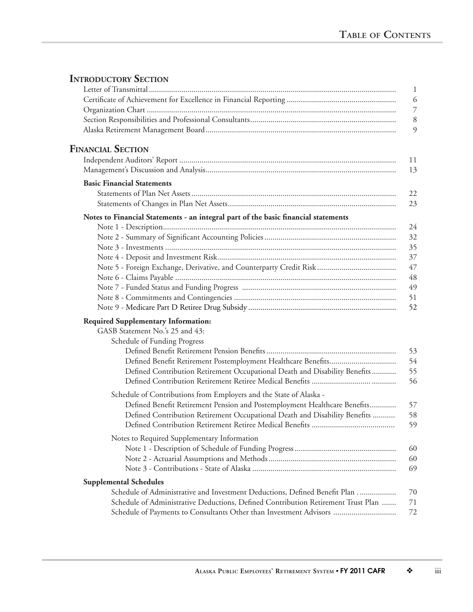## **INTRODUCTORY SECTION**

|                                                                                                               | $\mathbf{1}$   |
|---------------------------------------------------------------------------------------------------------------|----------------|
|                                                                                                               | 6              |
|                                                                                                               | $\overline{7}$ |
|                                                                                                               | $8\,$          |
|                                                                                                               | 9              |
| <b>FINANCIAL SECTION</b>                                                                                      |                |
|                                                                                                               | 11             |
|                                                                                                               | 13             |
| <b>Basic Financial Statements</b>                                                                             |                |
|                                                                                                               | 22             |
|                                                                                                               | 23             |
| Notes to Financial Statements - an integral part of the basic financial statements                            |                |
|                                                                                                               | 24<br>32       |
|                                                                                                               | 35             |
|                                                                                                               | 37             |
|                                                                                                               | 47             |
|                                                                                                               | 48             |
|                                                                                                               | 49             |
|                                                                                                               | 51             |
|                                                                                                               | 52             |
| <b>Required Supplementary Information:</b><br>GASB Statement No.'s 25 and 43:<br>Schedule of Funding Progress |                |
|                                                                                                               | 53             |
|                                                                                                               | 54             |
| Defined Contribution Retirement Occupational Death and Disability Benefits                                    | 55             |
|                                                                                                               | 56             |
| Schedule of Contributions from Employers and the State of Alaska -                                            |                |
| Defined Benefit Retirement Pension and Postemployment Healthcare Benefits                                     | 57             |
| Defined Contribution Retirement Occupational Death and Disability Benefits                                    | 58             |
|                                                                                                               | 59             |
| Notes to Required Supplementary Information                                                                   |                |
|                                                                                                               | 60             |
|                                                                                                               | 60             |
|                                                                                                               | 69             |
| <b>Supplemental Schedules</b>                                                                                 |                |
| Schedule of Administrative and Investment Deductions, Defined Benefit Plan                                    | 70             |
| Schedule of Administrative Deductions, Defined Contribution Retirement Trust Plan                             | 71             |
| Schedule of Payments to Consultants Other than Investment Advisors                                            | 72             |